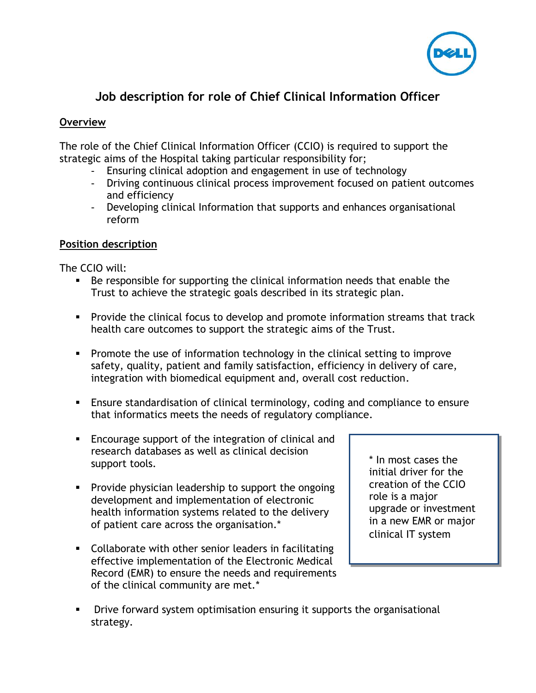

# **Job description for role of Chief Clinical Information Officer**

## **Overview**

The role of the Chief Clinical Information Officer (CCIO) is required to support the strategic aims of the Hospital taking particular responsibility for;

- Ensuring clinical adoption and engagement in use of technology
- Driving continuous clinical process improvement focused on patient outcomes and efficiency
- Developing clinical Information that supports and enhances organisational reform

## **Position description**

The CCIO will:

- Be responsible for supporting the clinical information needs that enable the Trust to achieve the strategic goals described in its strategic plan.
- **Provide the clinical focus to develop and promote information streams that track** health care outcomes to support the strategic aims of the Trust.
- **Promote the use of information technology in the clinical setting to improve** safety, quality, patient and family satisfaction, efficiency in delivery of care, integration with biomedical equipment and, overall cost reduction.
- Ensure standardisation of clinical terminology, coding and compliance to ensure that informatics meets the needs of regulatory compliance.
- Encourage support of the integration of clinical and research databases as well as clinical decision support tools.
- **Provide physician leadership to support the ongoing** development and implementation of electronic health information systems related to the delivery of patient care across the organisation.\*
- Collaborate with other senior leaders in facilitating effective implementation of the Electronic Medical Record (EMR) to ensure the needs and requirements of the clinical community are met.\*

\* In most cases the initial driver for the creation of the CCIO role is a major upgrade or investment in a new EMR or major clinical IT system

**•** Drive forward system optimisation ensuring it supports the organisational strategy.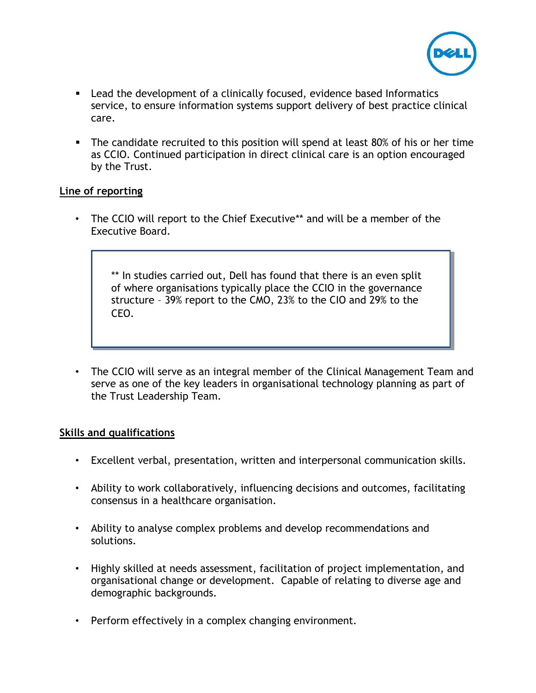

- Lead the development of a clinically focused, evidence based Informatics service, to ensure information systems support delivery of best practice clinical care.
- The candidate recruited to this position will spend at least 80% of his or her time as CCIO. Continued participation in direct clinical care is an option encouraged by the Trust.

#### **Line of reporting**

• The CCIO will report to the Chief Executive\*\* and will be a member of the Executive Board.

\*\* In studies carried out, Dell has found that there is an even split of where organisations typically place the CCIO in the governance structure – 39% report to the CMO, 23% to the CIO and 29% to the CEO.

• The CCIO will serve as an integral member of the Clinical Management Team and serve as one of the key leaders in organisational technology planning as part of the Trust Leadership Team.

# **Skills and qualifications**

- Excellent verbal, presentation, written and interpersonal communication skills.
- Ability to work collaboratively, influencing decisions and outcomes, facilitating consensus in a healthcare organisation.
- Ability to analyse complex problems and develop recommendations and solutions.
- Highly skilled at needs assessment, facilitation of project implementation, and organisational change or development. Capable of relating to diverse age and demographic backgrounds.
- Perform effectively in a complex changing environment.